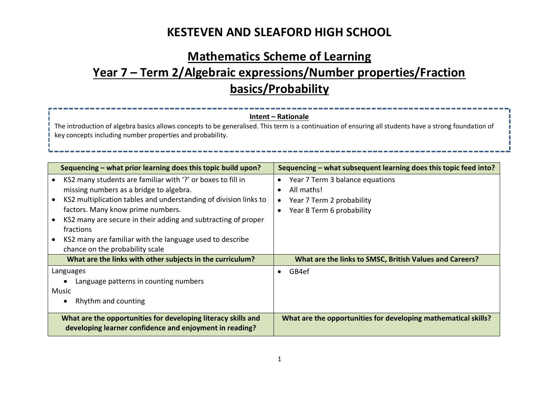# **Mathematics Scheme of Learning Year 7 – Term 2/Algebraic expressions/Number properties/Fraction basics/Probability**

#### **Intent – Rationale**

----------------

The introduction of algebra basics allows concepts to be generalised. This term is a continuation of ensuring all students have a strong foundation of key concepts including number properties and probability.

----------

| Sequencing – what prior learning does this topic build upon?                                                                                                                                                                                                                                                                                                                                                                                     | Sequencing – what subsequent learning does this topic feed into?                                        |
|--------------------------------------------------------------------------------------------------------------------------------------------------------------------------------------------------------------------------------------------------------------------------------------------------------------------------------------------------------------------------------------------------------------------------------------------------|---------------------------------------------------------------------------------------------------------|
| KS2 many students are familiar with '?' or boxes to fill in<br>$\bullet$<br>missing numbers as a bridge to algebra.<br>KS2 multiplication tables and understanding of division links to<br>$\bullet$<br>factors. Many know prime numbers.<br>KS2 many are secure in their adding and subtracting of proper<br>$\bullet$<br>fractions<br>KS2 many are familiar with the language used to describe<br>$\bullet$<br>chance on the probability scale | Year 7 Term 3 balance equations<br>All maths!<br>Year 7 Term 2 probability<br>Year 8 Term 6 probability |
| What are the links with other subjects in the curriculum?                                                                                                                                                                                                                                                                                                                                                                                        | What are the links to SMSC, British Values and Careers?                                                 |
| Languages<br>Language patterns in counting numbers<br>Music<br>Rhythm and counting<br>$\bullet$                                                                                                                                                                                                                                                                                                                                                  | GB4ef                                                                                                   |
| What are the opportunities for developing literacy skills and<br>developing learner confidence and enjoyment in reading?                                                                                                                                                                                                                                                                                                                         | What are the opportunities for developing mathematical skills?                                          |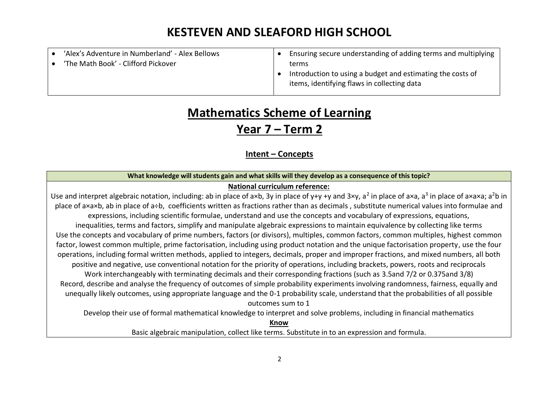| 'Alex's Adventure in Numberland' - Alex Bellows | Ensuring secure understanding of adding terms and multiplying |
|-------------------------------------------------|---------------------------------------------------------------|
| 'The Math Book' - Clifford Pickover             | terms                                                         |
|                                                 | Introduction to using a budget and estimating the costs of    |
|                                                 | items, identifying flaws in collecting data                   |

# **Mathematics Scheme of Learning**

### **Year 7 – Term 2**

### **Intent – Concepts**

#### **What knowledge will students gain and what skills will they develop as a consequence of this topic?**

### **National curriculum reference:**

Use and interpret algebraic notation, including: ab in place of a×b, 3y in place of y+y +y and 3×y, a<sup>2</sup> in place of a×a, a<sup>3</sup> in place of a×a×a; a<sup>2</sup>b in place of a×a×b, ab in place of a÷b, coefficients written as fractions rather than as decimals , substitute numerical values into formulae and expressions, including scientific formulae, understand and use the concepts and vocabulary of expressions, equations, inequalities, terms and factors, simplify and manipulate algebraic expressions to maintain equivalence by collecting like terms Use the concepts and vocabulary of prime numbers, factors (or divisors), multiples, common factors, common multiples, highest common factor, lowest common multiple, prime factorisation, including using product notation and the unique factorisation property, use the four operations, including formal written methods, applied to integers, decimals, proper and improper fractions, and mixed numbers, all both positive and negative, use conventional notation for the priority of operations, including brackets, powers, roots and reciprocals Work interchangeably with terminating decimals and their corresponding fractions (such as 3.5and 7/2 or 0.375and 3/8) Record, describe and analyse the frequency of outcomes of simple probability experiments involving randomness, fairness, equally and unequally likely outcomes, using appropriate language and the 0-1 probability scale, understand that the probabilities of all possible outcomes sum to 1 Develop their use of formal mathematical knowledge to interpret and solve problems, including in financial mathematics

> **Know** Basic algebraic manipulation, collect like terms. Substitute in to an expression and formula.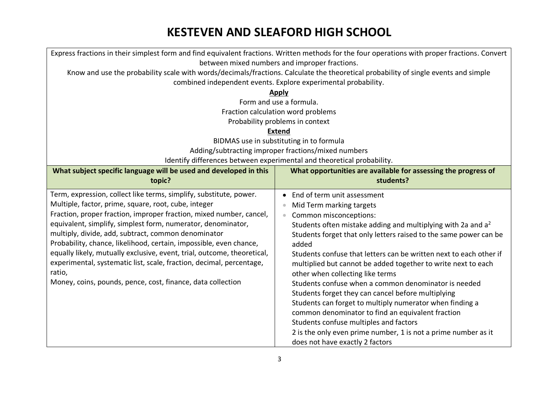| Express fractions in their simplest form and find equivalent fractions. Written methods for the four operations with proper fractions. Convert |                                                                          |  |  |
|------------------------------------------------------------------------------------------------------------------------------------------------|--------------------------------------------------------------------------|--|--|
| between mixed numbers and improper fractions.                                                                                                  |                                                                          |  |  |
| Know and use the probability scale with words/decimals/fractions. Calculate the theoretical probability of single events and simple            |                                                                          |  |  |
| combined independent events. Explore experimental probability.                                                                                 |                                                                          |  |  |
|                                                                                                                                                | <b>Apply</b>                                                             |  |  |
|                                                                                                                                                | Form and use a formula.                                                  |  |  |
|                                                                                                                                                | Fraction calculation word problems                                       |  |  |
|                                                                                                                                                | Probability problems in context                                          |  |  |
|                                                                                                                                                | <b>Extend</b>                                                            |  |  |
|                                                                                                                                                | BIDMAS use in substituting in to formula                                 |  |  |
|                                                                                                                                                | Adding/subtracting improper fractions/mixed numbers                      |  |  |
|                                                                                                                                                | Identify differences between experimental and theoretical probability.   |  |  |
| What subject specific language will be used and developed in this                                                                              | What opportunities are available for assessing the progress of           |  |  |
| topic?                                                                                                                                         | students?                                                                |  |  |
| Term, expression, collect like terms, simplify, substitute, power.                                                                             | End of term unit assessment<br>$\bullet$                                 |  |  |
| Multiple, factor, prime, square, root, cube, integer                                                                                           | Mid Term marking targets<br>$\color{black} \bullet$                      |  |  |
| Fraction, proper fraction, improper fraction, mixed number, cancel,                                                                            | Common misconceptions:<br>$\bullet$                                      |  |  |
| equivalent, simplify, simplest form, numerator, denominator,                                                                                   | Students often mistake adding and multiplying with 2a and a <sup>2</sup> |  |  |
| multiply, divide, add, subtract, common denominator                                                                                            | Students forget that only letters raised to the same power can be        |  |  |
| Probability, chance, likelihood, certain, impossible, even chance,                                                                             | added                                                                    |  |  |
| equally likely, mutually exclusive, event, trial, outcome, theoretical,                                                                        | Students confuse that letters can be written next to each other if       |  |  |
| experimental, systematic list, scale, fraction, decimal, percentage,                                                                           | multiplied but cannot be added together to write next to each            |  |  |
| ratio,                                                                                                                                         | other when collecting like terms                                         |  |  |
| Money, coins, pounds, pence, cost, finance, data collection                                                                                    | Students confuse when a common denominator is needed                     |  |  |
|                                                                                                                                                | Students forget they can cancel before multiplying                       |  |  |
|                                                                                                                                                | Students can forget to multiply numerator when finding a                 |  |  |
|                                                                                                                                                | common denominator to find an equivalent fraction                        |  |  |
|                                                                                                                                                | Students confuse multiples and factors                                   |  |  |
|                                                                                                                                                | 2 is the only even prime number, 1 is not a prime number as it           |  |  |
|                                                                                                                                                | does not have exactly 2 factors                                          |  |  |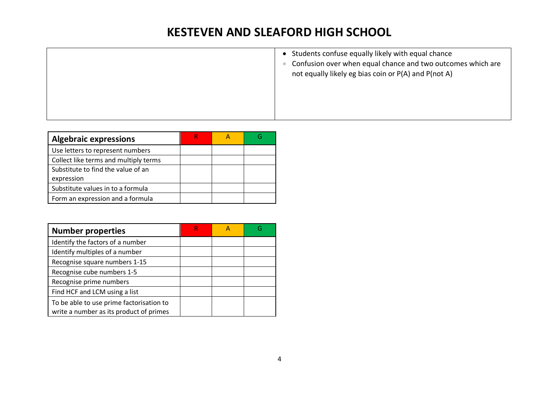| • Students confuse equally likely with equal chance<br>Confusion over when equal chance and two outcomes which are<br>not equally likely eg bias coin or P(A) and P(not A) |
|----------------------------------------------------------------------------------------------------------------------------------------------------------------------------|
|                                                                                                                                                                            |

| <b>Algebraic expressions</b>          |  |  |
|---------------------------------------|--|--|
| Use letters to represent numbers      |  |  |
| Collect like terms and multiply terms |  |  |
| Substitute to find the value of an    |  |  |
| expression                            |  |  |
| Substitute values in to a formula     |  |  |
| Form an expression and a formula      |  |  |

| <b>Number properties</b>                                                            | R |  |
|-------------------------------------------------------------------------------------|---|--|
| Identify the factors of a number                                                    |   |  |
| Identify multiples of a number                                                      |   |  |
| Recognise square numbers 1-15                                                       |   |  |
| Recognise cube numbers 1-5                                                          |   |  |
| Recognise prime numbers                                                             |   |  |
| Find HCF and LCM using a list                                                       |   |  |
| To be able to use prime factorisation to<br>write a number as its product of primes |   |  |